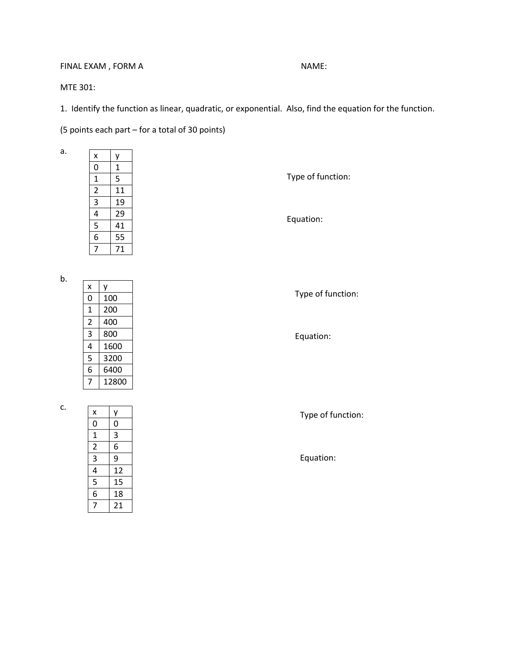## FINAL EXAM , FORM A NAME:

MTE 301:

1. Identify the function as linear, quadratic, or exponential. Also, find the equation for the function.

(5 points each part – for a total of 30 points)

| $\overline{\mathsf{x}}$                   |                 |  |
|-------------------------------------------|-----------------|--|
| $\overline{0}$                            | $\frac{1}{1}$   |  |
| $\overline{1}$                            | $\overline{5}$  |  |
|                                           | $\overline{11}$ |  |
| $\frac{2}{3}$ $\frac{4}{5}$ $\frac{5}{6}$ |                 |  |
|                                           | $\frac{19}{29}$ |  |
|                                           |                 |  |
|                                           | $\frac{1}{55}$  |  |
| 7                                         | $\overline{7}1$ |  |
|                                           |                 |  |

Type of function:

Equation:

b.

a.

| x              | ٧     |
|----------------|-------|
| 0              | 100   |
| 1              | 200   |
| $\overline{2}$ | 400   |
| 3              | 800   |
| 4              | 1600  |
| 5              | 3200  |
| 6              | 6400  |
|                | 12800 |

c.

| x              | у  |
|----------------|----|
| 0              | 0  |
| $\mathbf{1}$   | 3  |
| $\overline{2}$ | 6  |
| 3              | 9  |
| 4              | 12 |
| 5              | 15 |
| 6              | 18 |
| 7              | 21 |

Type of function:

Equation:

Type of function:

Equation: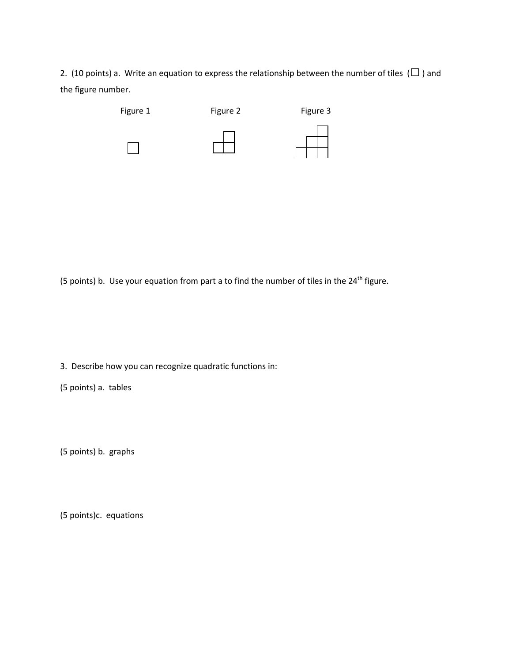2. (10 points) a. Write an equation to express the relationship between the number of tiles ( $\square$ ) and the figure number.



(5 points) b. Use your equation from part a to find the number of tiles in the  $24^{th}$  figure.

3. Describe how you can recognize quadratic functions in:

(5 points) a. tables

(5 points) b. graphs

(5 points)c. equations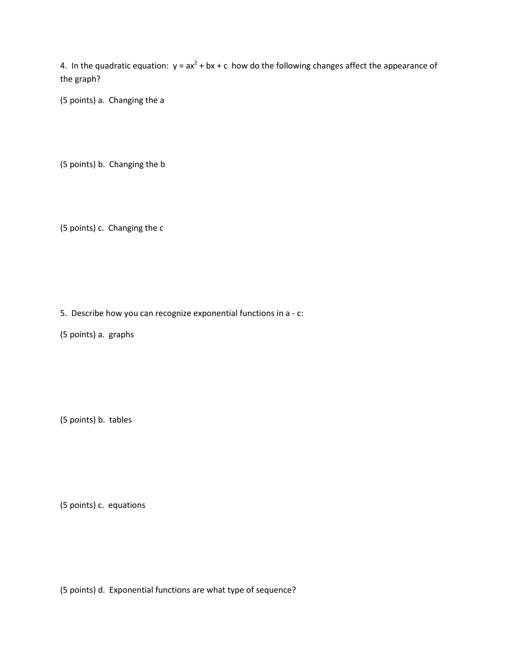4. In the quadratic equation:  $y = ax^2 + bx + c$  how do the following changes affect the appearance of the graph?

(5 points) a. Changing the a

(5 points) b. Changing the b

(5 points) c. Changing the c

5. Describe how you can recognize exponential functions in a - c:

(5 points) a. graphs

(5 points) b. tables

(5 points) c. equations

(5 points) d. Exponential functions are what type of sequence?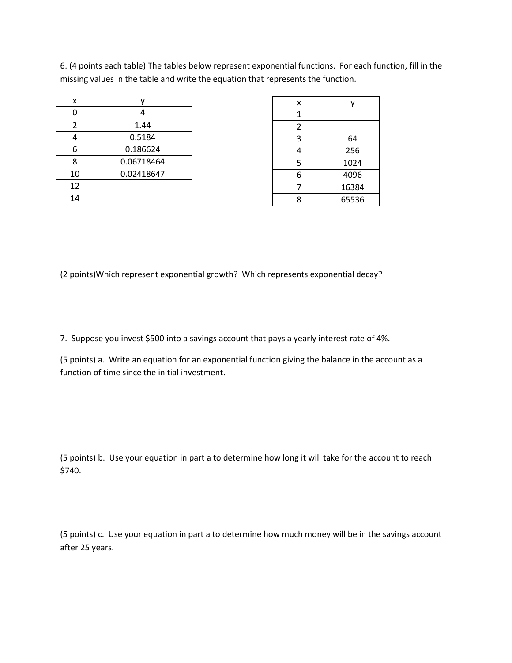6. (4 points each table) The tables below represent exponential functions. For each function, fill in the missing values in the table and write the equation that represents the function.

| x  |            |
|----|------------|
| 0  | 4          |
| 2  | 1.44       |
| 4  | 0.5184     |
| 6  | 0.186624   |
| 8  | 0.06718464 |
| 10 | 0.02418647 |
| 12 |            |
| 14 |            |

| x | v     |
|---|-------|
| 1 |       |
| 2 |       |
| 3 | 64    |
| 4 | 256   |
| 5 | 1024  |
| 6 | 4096  |
| 7 | 16384 |
| 8 | 65536 |

(2 points)Which represent exponential growth? Which represents exponential decay?

7. Suppose you invest \$500 into a savings account that pays a yearly interest rate of 4%.

(5 points) a. Write an equation for an exponential function giving the balance in the account as a function of time since the initial investment.

(5 points) b. Use your equation in part a to determine how long it will take for the account to reach \$740.

(5 points) c. Use your equation in part a to determine how much money will be in the savings account after 25 years.